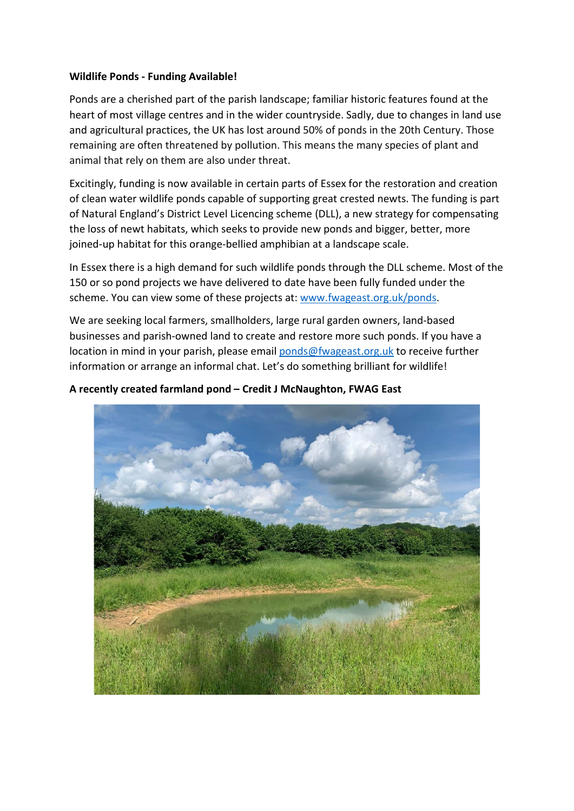## Wildlife Ponds - Funding Available!

Ponds are a cherished part of the parish landscape; familiar historic features found at the heart of most village centres and in the wider countryside. Sadly, due to changes in land use and agricultural practices, the UK has lost around 50% of ponds in the 20th Century. Those remaining are often threatened by pollution. This means the many species of plant and animal that rely on them are also under threat.

Excitingly, funding is now available in certain parts of Essex for the restoration and creation of clean water wildlife ponds capable of supporting great crested newts. The funding is part of Natural England's District Level Licencing scheme (DLL), a new strategy for compensating the loss of newt habitats, which seeks to provide new ponds and bigger, better, more joined-up habitat for this orange-bellied amphibian at a landscape scale.

In Essex there is a high demand for such wildlife ponds through the DLL scheme. Most of the 150 or so pond projects we have delivered to date have been fully funded under the scheme. You can view some of these projects at: www.fwageast.org.uk/ponds.

We are seeking local farmers, smallholders, large rural garden owners, land-based businesses and parish-owned land to create and restore more such ponds. If you have a location in mind in your parish, please email ponds@fwageast.org.uk to receive further information or arrange an informal chat. Let's do something brilliant for wildlife!

## A recently created farmland pond – Credit J McNaughton, FWAG East